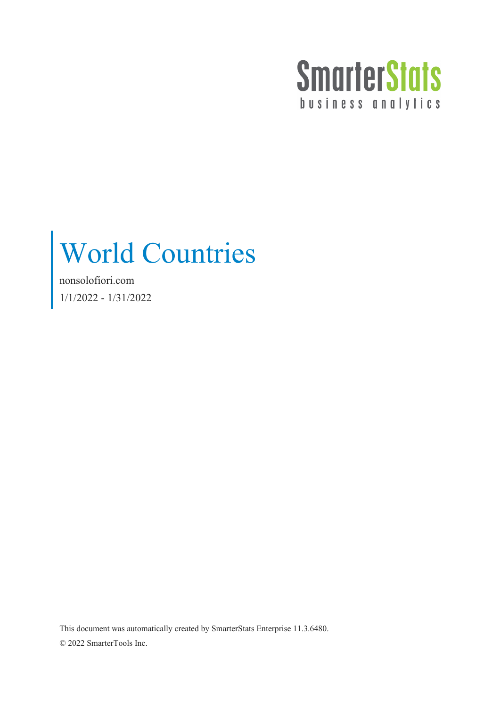

## World Countries

nonsolofiori.com 1/1/2022 - 1/31/2022

This document was automatically created by SmarterStats Enterprise 11.3.6480. © 2022 SmarterTools Inc.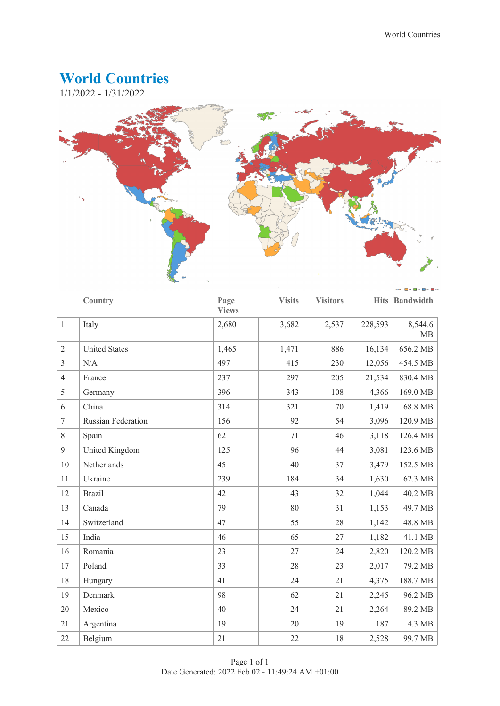## **World Countries**

1/1/2022 - 1/31/2022



|                | Country                   | Page<br><b>Views</b> | <b>Visits</b> | <b>Visitors</b> |         | Hits Bandwidth |
|----------------|---------------------------|----------------------|---------------|-----------------|---------|----------------|
| $\mathbf{1}$   | Italy                     | 2,680                | 3,682         | 2,537           | 228,593 | 8,544.6<br>MB  |
| $\overline{2}$ | <b>United States</b>      | 1,465                | 1,471         | 886             | 16,134  | 656.2 MB       |
| 3              | N/A                       | 497                  | 415           | 230             | 12,056  | 454.5 MB       |
| $\overline{4}$ | France                    | 237                  | 297           | 205             | 21,534  | 830.4 MB       |
| 5              | Germany                   | 396                  | 343           | 108             | 4,366   | 169.0 MB       |
| 6              | China                     | 314                  | 321           | 70              | 1,419   | 68.8 MB        |
| $\overline{7}$ | <b>Russian Federation</b> | 156                  | 92            | 54              | 3,096   | 120.9 MB       |
| $8\,$          | Spain                     | 62                   | 71            | 46              | 3,118   | 126.4 MB       |
| 9              | United Kingdom            | 125                  | 96            | 44              | 3,081   | 123.6 MB       |
| 10             | Netherlands               | 45                   | 40            | 37              | 3,479   | 152.5 MB       |
| 11             | Ukraine                   | 239                  | 184           | 34              | 1,630   | 62.3 MB        |
| 12             | <b>Brazil</b>             | 42                   | 43            | 32              | 1,044   | 40.2 MB        |
| 13             | Canada                    | 79                   | 80            | 31              | 1,153   | 49.7 MB        |
| 14             | Switzerland               | 47                   | 55            | 28              | 1,142   | 48.8 MB        |
| 15             | India                     | 46                   | 65            | 27              | 1,182   | 41.1 MB        |
| 16             | Romania                   | 23                   | 27            | 24              | 2,820   | 120.2 MB       |
| 17             | Poland                    | 33                   | 28            | 23              | 2,017   | 79.2 MB        |
| 18             | Hungary                   | 41                   | 24            | 21              | 4,375   | 188.7 MB       |
| 19             | Denmark                   | 98                   | 62            | 21              | 2,245   | 96.2 MB        |
| 20             | Mexico                    | 40                   | 24            | 21              | 2,264   | 89.2 MB        |
| 21             | Argentina                 | 19                   | 20            | 19              | 187     | 4.3 MB         |
| 22             | Belgium                   | 21                   | 22            | 18              | 2,528   | 99.7 MB        |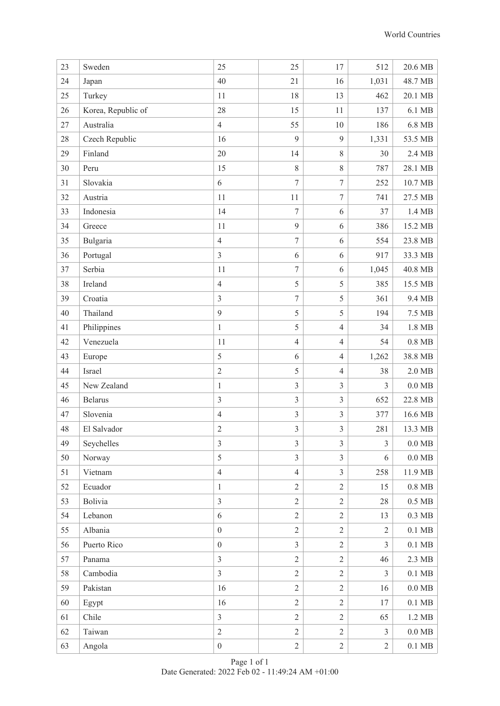| 23 | Sweden             | 25               | 25               | 17               | 512            | 20.6 MB            |
|----|--------------------|------------------|------------------|------------------|----------------|--------------------|
| 24 | Japan              | 40               | 21               | 16               | 1,031          | 48.7 MB            |
| 25 | Turkey             | 11               | 18               | 13               | 462            | 20.1 MB            |
| 26 | Korea, Republic of | 28               | 15               | 11               | 137            | 6.1 MB             |
| 27 | Australia          | $\overline{4}$   | 55               | 10               | 186            | 6.8 MB             |
| 28 | Czech Republic     | 16               | 9                | 9                | 1,331          | 53.5 MB            |
| 29 | Finland            | 20               | 14               | $8\,$            | 30             | 2.4 MB             |
| 30 | Peru               | 15               | 8                | $8\,$            | 787            | 28.1 MB            |
| 31 | Slovakia           | 6                | $\overline{7}$   | $\boldsymbol{7}$ | 252            | 10.7 MB            |
| 32 | Austria            | 11               | 11               | $\tau$           | 741            | 27.5 MB            |
| 33 | Indonesia          | 14               | $\overline{7}$   | 6                | 37             | 1.4 MB             |
| 34 | Greece             | 11               | 9                | 6                | 386            | 15.2 MB            |
| 35 | Bulgaria           | $\overline{4}$   | $\boldsymbol{7}$ | 6                | 554            | 23.8 MB            |
| 36 | Portugal           | $\overline{3}$   | 6                | 6                | 917            | 33.3 MB            |
| 37 | Serbia             | 11               | $\overline{7}$   | 6                | 1,045          | 40.8 MB            |
| 38 | Ireland            | $\overline{4}$   | 5                | 5                | 385            | 15.5 MB            |
| 39 | Croatia            | $\mathfrak{Z}$   | $\tau$           | 5                | 361            | 9.4 MB             |
| 40 | Thailand           | 9                | 5                | 5                | 194            | 7.5 MB             |
| 41 | Philippines        | $\mathbf{1}$     | 5                | $\overline{4}$   | 34             | 1.8 MB             |
| 42 | Venezuela          | 11               | $\overline{4}$   | $\overline{4}$   | 54             | $0.8$ MB           |
| 43 | Europe             | 5                | 6                | $\overline{4}$   | 1,262          | 38.8 MB            |
| 44 | Israel             | $\sqrt{2}$       | 5                | $\overline{4}$   | 38             | $2.0$ MB           |
| 45 | New Zealand        | $\mathbf{1}$     | $\overline{3}$   | $\overline{3}$   | $\mathfrak{Z}$ | $0.0\ \mathrm{MB}$ |
| 46 | <b>Belarus</b>     | $\mathfrak{Z}$   | $\overline{3}$   | $\mathfrak{Z}$   | 652            | 22.8 MB            |
| 47 | Slovenia           | $\overline{4}$   | $\mathfrak{Z}$   | $\overline{3}$   | 377            | 16.6 MB            |
| 48 | El Salvador        | $\overline{c}$   | $\mathfrak{Z}$   | $\overline{3}$   | 281            | 13.3 MB            |
| 49 | Seychelles         | $\mathfrak{Z}$   | $\overline{3}$   | $\mathfrak{Z}$   | $\mathfrak{Z}$ | $0.0\ \mathrm{MB}$ |
| 50 | Norway             | 5                | $\overline{3}$   | $\overline{3}$   | 6              | $0.0\ \mathrm{MB}$ |
| 51 | Vietnam            | $\overline{4}$   | $\overline{4}$   | $\overline{3}$   | 258            | 11.9 MB            |
| 52 | Ecuador            | $\mathbf{1}$     | $\overline{2}$   | $\overline{2}$   | 15             | $0.8\;\mathrm{MB}$ |
| 53 | Bolivia            | $\overline{3}$   | $\overline{2}$   | $\overline{2}$   | 28             | $0.5\;\mathrm{MB}$ |
| 54 | Lebanon            | 6                | $\overline{2}$   | $\overline{2}$   | 13             | $0.3\;\mathrm{MB}$ |
| 55 | Albania            | $\boldsymbol{0}$ | $\overline{2}$   | $\overline{2}$   | $\overline{2}$ | $0.1\ \mathrm{MB}$ |
| 56 | Puerto Rico        | $\boldsymbol{0}$ | $\overline{3}$   | $\mathbf{2}$     | 3              | $0.1\ \mathrm{MB}$ |
| 57 | Panama             | $\overline{3}$   | $\overline{2}$   | $\overline{2}$   | 46             | 2.3 MB             |
| 58 | Cambodia           | $\overline{3}$   | $\overline{2}$   | $\overline{2}$   | $\mathfrak{Z}$ | $0.1$ MB           |
| 59 | Pakistan           | 16               | $\overline{2}$   | $\sqrt{2}$       | 16             | $0.0\ \mathrm{MB}$ |
| 60 | Egypt              | 16               | $\overline{2}$   | $\mathbf{2}$     | 17             | $0.1\ \mathrm{MB}$ |
| 61 | Chile              | $\overline{3}$   | $\overline{2}$   | $\sqrt{2}$       | 65             | 1.2 MB             |
| 62 | Taiwan             | $\overline{2}$   | $\overline{2}$   | $\overline{2}$   | $\mathfrak{Z}$ | $0.0\ \mathrm{MB}$ |
| 63 | Angola             | $\boldsymbol{0}$ | $\sqrt{2}$       | $\sqrt{2}$       | $\overline{2}$ | $0.1\ \mathrm{MB}$ |